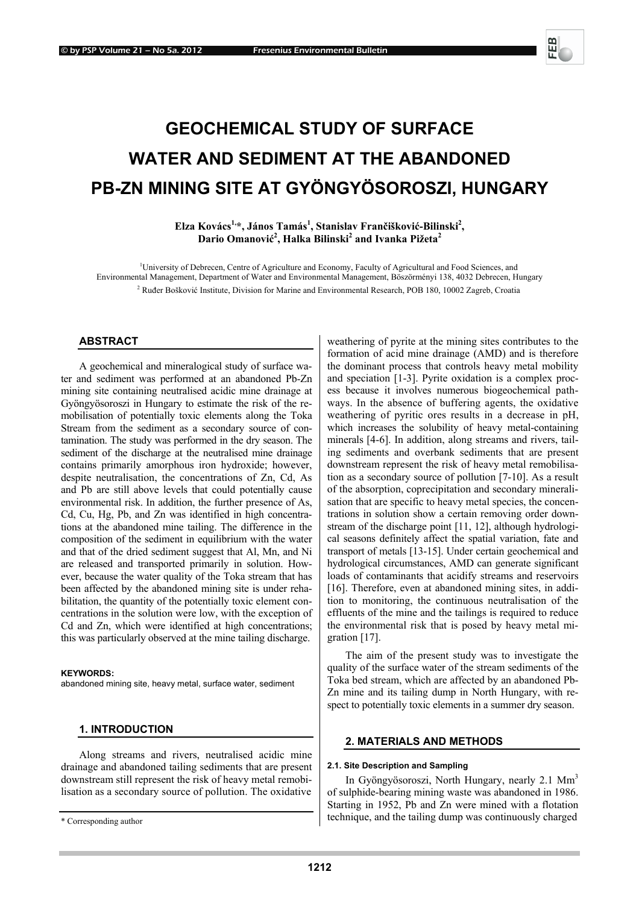# **GEOCHEMICAL STUDY OF SURFACE WATER AND SEDIMENT AT THE ABANDONED PB-ZN MINING SITE AT GYÖNGYÖSOROSZI, HUNGARY**

**Elza Kovács1,\*, János Tamás1 , Stanislav Frančišković-Bilinski2 , Dario Omanović 2 , Halka Bilinski2 and Ivanka Pižeta2** 

<sup>1</sup>University of Debrecen, Centre of Agriculture and Economy, Faculty of Agricultural and Food Sciences, and Environmental Management, Department of Water and Environmental Management, Böszörményi 138, 4032 Debrecen, Hungary <sup>2</sup> Ruđer Bošković Institute, Division for Marine and Environmental Research, POB 180, 10002 Zagreb, Croatia

## **ABSTRACT**

A geochemical and mineralogical study of surface water and sediment was performed at an abandoned Pb-Zn mining site containing neutralised acidic mine drainage at Gyöngyösoroszi in Hungary to estimate the risk of the remobilisation of potentially toxic elements along the Toka Stream from the sediment as a secondary source of contamination. The study was performed in the dry season. The sediment of the discharge at the neutralised mine drainage contains primarily amorphous iron hydroxide; however, despite neutralisation, the concentrations of Zn, Cd, As and Pb are still above levels that could potentially cause environmental risk. In addition, the further presence of As, Cd, Cu, Hg, Pb, and Zn was identified in high concentrations at the abandoned mine tailing. The difference in the composition of the sediment in equilibrium with the water and that of the dried sediment suggest that Al, Mn, and Ni are released and transported primarily in solution. However, because the water quality of the Toka stream that has been affected by the abandoned mining site is under rehabilitation, the quantity of the potentially toxic element concentrations in the solution were low, with the exception of Cd and Zn, which were identified at high concentrations; this was particularly observed at the mine tailing discharge.

#### **KEYWORDS:**

abandoned mining site, heavy metal, surface water, sediment

## **1. INTRODUCTION**

Along streams and rivers, neutralised acidic mine drainage and abandoned tailing sediments that are present downstream still represent the risk of heavy metal remobilisation as a secondary source of pollution. The oxidative

weathering of pyrite at the mining sites contributes to the formation of acid mine drainage (AMD) and is therefore the dominant process that controls heavy metal mobility and speciation [1-3]. Pyrite oxidation is a complex process because it involves numerous biogeochemical pathways. In the absence of buffering agents, the oxidative weathering of pyritic ores results in a decrease in pH, which increases the solubility of heavy metal-containing minerals [4-6]. In addition, along streams and rivers, tailing sediments and overbank sediments that are present downstream represent the risk of heavy metal remobilisation as a secondary source of pollution [7-10]. As a result of the absorption, coprecipitation and secondary mineralisation that are specific to heavy metal species, the concentrations in solution show a certain removing order downstream of the discharge point [11, 12], although hydrological seasons definitely affect the spatial variation, fate and transport of metals [13-15]. Under certain geochemical and hydrological circumstances, AMD can generate significant loads of contaminants that acidify streams and reservoirs [16]. Therefore, even at abandoned mining sites, in addition to monitoring, the continuous neutralisation of the effluents of the mine and the tailings is required to reduce the environmental risk that is posed by heavy metal migration [17].

The aim of the present study was to investigate the quality of the surface water of the stream sediments of the Toka bed stream, which are affected by an abandoned Pb-Zn mine and its tailing dump in North Hungary, with respect to potentially toxic elements in a summer dry season.

#### **2. MATERIALS AND METHODS**

#### **2.1. Site Description and Sampling**

In Gyöngyösoroszi, North Hungary, nearly  $2.1 \text{ Mm}^3$ of sulphide-bearing mining waste was abandoned in 1986. Starting in 1952, Pb and Zn were mined with a flotation technique, and the tailing dump was continuously charged

<sup>\*</sup> Corresponding author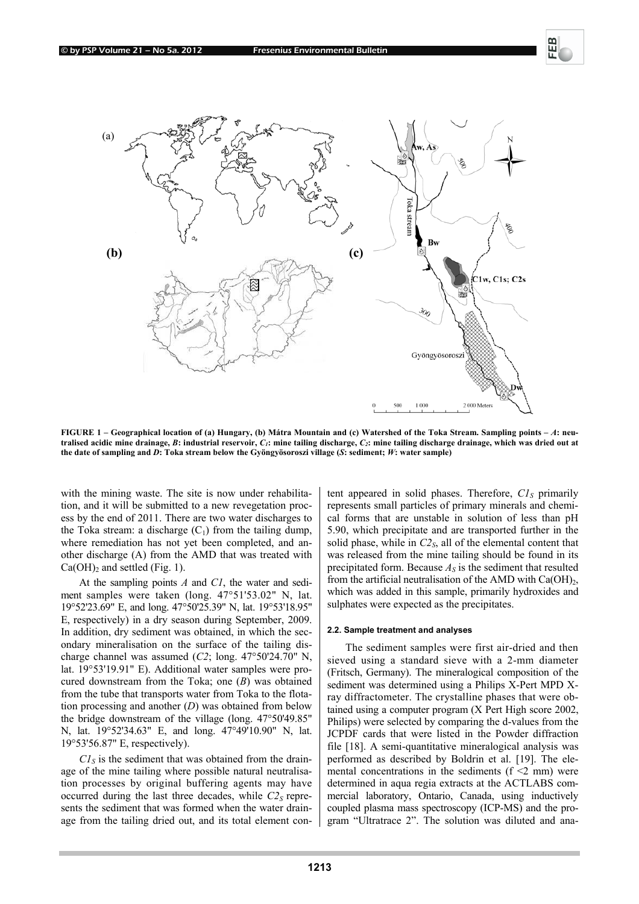

**FIGURE 1 – Geographical location of (a) Hungary, (b) Mátra Mountain and (c) Watershed of the Toka Stream. Sampling points –** *A***: neutralised acidic mine drainage,** *B***: industrial reservoir,** *C1***: mine tailing discharge,** *C2***: mine tailing discharge drainage, which was dried out at the date of sampling and** *D***: Toka stream below the Gyöngyösoroszi village (***S***: sediment;** *W***: water sample)** 

with the mining waste. The site is now under rehabilitation, and it will be submitted to a new revegetation process by the end of 2011. There are two water discharges to the Toka stream: a discharge  $(C_1)$  from the tailing dump, where remediation has not yet been completed, and another discharge (A) from the AMD that was treated with  $Ca(OH)<sub>2</sub>$  and settled (Fig. 1).

At the sampling points *A* and *C1*, the water and sediment samples were taken (long. 47°51'53.02" N, lat. 19°52'23.69" E, and long. 47°50'25.39" N, lat. 19°53'18.95" E, respectively) in a dry season during September, 2009. In addition, dry sediment was obtained, in which the secondary mineralisation on the surface of the tailing discharge channel was assumed (*C2*; long. 47°50'24.70" N, lat. 19°53'19.91" E). Additional water samples were procured downstream from the Toka; one (*B*) was obtained from the tube that transports water from Toka to the flotation processing and another (*D*) was obtained from below the bridge downstream of the village (long. 47°50'49.85" N, lat. 19°52'34.63" E, and long. 47°49'10.90" N, lat. 19°53'56.87" E, respectively).

 $CI<sub>S</sub>$  is the sediment that was obtained from the drainage of the mine tailing where possible natural neutralisation processes by original buffering agents may have occurred during the last three decades, while  $C2<sub>S</sub>$  represents the sediment that was formed when the water drainage from the tailing dried out, and its total element con-

tent appeared in solid phases. Therefore,  $CI<sub>S</sub>$  primarily represents small particles of primary minerals and chemical forms that are unstable in solution of less than pH 5.90, which precipitate and are transported further in the solid phase, while in  $C_2$ <sub>S</sub>, all of the elemental content that was released from the mine tailing should be found in its precipitated form. Because  $A<sub>S</sub>$  is the sediment that resulted from the artificial neutralisation of the AMD with  $Ca(OH)_2$ , which was added in this sample, primarily hydroxides and sulphates were expected as the precipitates.

## **2.2. Sample treatment and analyses**

The sediment samples were first air-dried and then sieved using a standard sieve with a 2-mm diameter (Fritsch, Germany). The mineralogical composition of the sediment was determined using a Philips X-Pert MPD Xray diffractometer. The crystalline phases that were obtained using a computer program (X Pert High score 2002, Philips) were selected by comparing the d-values from the JCPDF cards that were listed in the Powder diffraction file [18]. A semi-quantitative mineralogical analysis was performed as described by Boldrin et al. [19]. The elemental concentrations in the sediments  $(f \le 2 \text{ mm})$  were determined in aqua regia extracts at the ACTLABS commercial laboratory, Ontario, Canada, using inductively coupled plasma mass spectroscopy (ICP-MS) and the program "Ultratrace 2". The solution was diluted and ana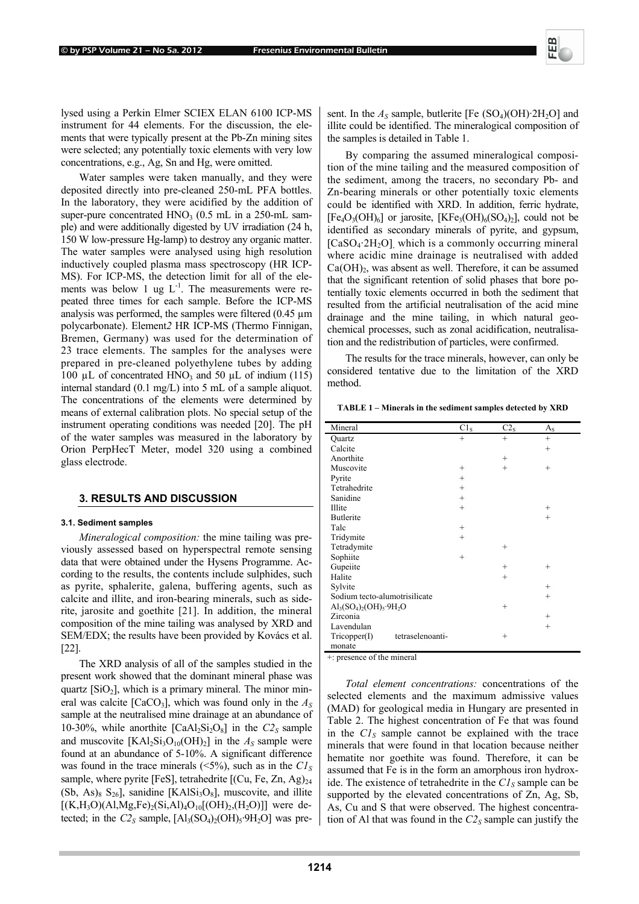lysed using a Perkin Elmer SCIEX ELAN 6100 ICP-MS instrument for 44 elements. For the discussion, the elements that were typically present at the Pb-Zn mining sites were selected; any potentially toxic elements with very low concentrations, e.g., Ag, Sn and Hg, were omitted.

Water samples were taken manually, and they were deposited directly into pre-cleaned 250-mL PFA bottles. In the laboratory, they were acidified by the addition of super-pure concentrated  $HNO<sub>3</sub>$  (0.5 mL in a 250-mL sample) and were additionally digested by UV irradiation (24 h, 150 W low-pressure Hg-lamp) to destroy any organic matter. The water samples were analysed using high resolution inductively coupled plasma mass spectroscopy (HR ICP-MS). For ICP-MS, the detection limit for all of the elements was below 1 ug  $L^{-1}$ . The measurements were repeated three times for each sample. Before the ICP-MS analysis was performed, the samples were filtered (0.45 µm polycarbonate). Element*2* HR ICP-MS (Thermo Finnigan, Bremen, Germany) was used for the determination of 23 trace elements. The samples for the analyses were prepared in pre-cleaned polyethylene tubes by adding 100  $\mu$ L of concentrated HNO<sub>3</sub> and 50  $\mu$ L of indium (115) internal standard (0.1 mg/L) into 5 mL of a sample aliquot. The concentrations of the elements were determined by means of external calibration plots. No special setup of the instrument operating conditions was needed [20]. The pH of the water samples was measured in the laboratory by Orion PerpHecT Meter, model 320 using a combined glass electrode.

#### **3. RESULTS AND DISCUSSION**

#### **3.1. Sediment samples**

*Mineralogical composition:* the mine tailing was previously assessed based on hyperspectral remote sensing data that were obtained under the Hysens Programme. According to the results, the contents include sulphides, such as pyrite, sphalerite, galena, buffering agents, such as calcite and illite, and iron-bearing minerals, such as siderite, jarosite and goethite [21]. In addition, the mineral composition of the mine tailing was analysed by XRD and SEM/EDX; the results have been provided by Kovács et al. [22].

The XRD analysis of all of the samples studied in the present work showed that the dominant mineral phase was quartz  $[SiO<sub>2</sub>]$ , which is a primary mineral. The minor mineral was calcite  $[CaCO_3]$ , which was found only in the  $A<sub>S</sub>$ sample at the neutralised mine drainage at an abundance of 10-30%, while anorthite  $\text{[CaAl}_2\text{Si}_2\text{O}_8\text{]}$  in the  $C2_S$  sample and muscovite  $[KAl_2Si_3O_{10}(OH)_2]$  in the  $A_S$  sample were found at an abundance of 5-10%. A significant difference was found in the trace minerals  $(\leq 5\%)$ , such as in the  $CI<sub>S</sub>$ sample, where pyrite [FeS], tetrahedrite  $[(Cu, Fe, Zn, Ag)<sub>24</sub>]$  $(Sb, As)_{8} S_{26}$ ], sanidine [KAl $Si<sub>3</sub>O<sub>8</sub>$ ], muscovite, and illite  $[(K,H_3O)(A1,Mg,Fe)_2(Si,A1)_4O_{10}[(OH)_2(H_2O)]]$  were detected; in the  $C2<sub>S</sub>$  sample,  $[A]<sub>3</sub>(SO<sub>4</sub>)<sub>2</sub>(OH)<sub>5</sub>·9H<sub>2</sub>O]$  was pre-

sent. In the  $A_s$  sample, butlerite [Fe  $(SO_4)(OH)$ ·2H<sub>2</sub>O] and illite could be identified. The mineralogical composition of the samples is detailed in Table 1.

By comparing the assumed mineralogical composition of the mine tailing and the measured composition of the sediment, among the tracers, no secondary Pb- and Zn-bearing minerals or other potentially toxic elements could be identified with XRD. In addition, ferric hydrate,  $[Fe<sub>4</sub>O<sub>3</sub>(OH)<sub>6</sub>]$  or jarosite,  $[KFe<sub>3</sub>(OH)<sub>6</sub>(SO<sub>4</sub>)<sub>2</sub>]$ , could not be identified as secondary minerals of pyrite, and gypsum,  $[CaSO<sub>4</sub>·2H<sub>2</sub>O]$ , which is a commonly occurring mineral where acidic mine drainage is neutralised with added  $Ca(OH)$ <sub>2</sub>, was absent as well. Therefore, it can be assumed that the significant retention of solid phases that bore potentially toxic elements occurred in both the sediment that resulted from the artificial neutralisation of the acid mine drainage and the mine tailing, in which natural geochemical processes, such as zonal acidification, neutralisation and the redistribution of particles, were confirmed.

The results for the trace minerals, however, can only be considered tentative due to the limitation of the XRD method.

**TABLE 1 – Minerals in the sediment samples detected by XRD** 

| Mineral                                                             | C1 <sub>S</sub> | C2 <sub>s</sub> | $A_{S}$ |
|---------------------------------------------------------------------|-----------------|-----------------|---------|
| Quartz                                                              | $^{+}$          | $^{+}$          | $+$     |
| Calcite                                                             |                 |                 | $^{+}$  |
| Anorthite                                                           |                 | $^{+}$          |         |
| Muscovite                                                           | $^{+}$          | $^{+}$          | $^{+}$  |
| Pyrite                                                              | $^{+}$          |                 |         |
| Tetrahedrite                                                        | $^{+}$          |                 |         |
| Sanidine                                                            | $^{+}$          |                 |         |
| Illite                                                              | $+$             |                 | $^{+}$  |
| <b>Butlerite</b>                                                    |                 |                 | $^{+}$  |
| Talc                                                                | $^{+}$          |                 |         |
| Tridymite                                                           | $^{+}$          |                 |         |
| Tetradymite                                                         |                 | $^{+}$          |         |
| Sophiite                                                            | $^{+}$          |                 |         |
| Gupeiite                                                            |                 | $^{+}$          | $^{+}$  |
| Halite                                                              |                 | $^{+}$          |         |
| Sylvite                                                             |                 |                 | $^{+}$  |
| Sodium tecto-alumotrisilicate                                       |                 |                 | $^{+}$  |
| $\text{Al}_3(\text{SO}_4)_2(\text{OH})_5 \cdot 9\text{H}_2\text{O}$ |                 | $^{+}$          |         |
| Zirconia                                                            |                 |                 | $^{+}$  |
| Lavendulan                                                          |                 |                 | $^{+}$  |
| tetraselenoanti-<br>Tricopper(I)                                    |                 | $^{+}$          |         |
| monate                                                              |                 |                 |         |
| ٠<br>$^{\circ}$ at<br>п.                                            |                 |                 |         |

+: presence of the mineral

*Total element concentrations:* concentrations of the selected elements and the maximum admissive values (MAD) for geological media in Hungary are presented in Table 2. The highest concentration of Fe that was found in the  $CI<sub>S</sub>$  sample cannot be explained with the trace minerals that were found in that location because neither hematite nor goethite was found. Therefore, it can be assumed that Fe is in the form an amorphous iron hydroxide. The existence of tetrahedrite in the  $CI<sub>S</sub>$  sample can be supported by the elevated concentrations of Zn, Ag, Sb, As, Cu and S that were observed. The highest concentration of Al that was found in the  $C2<sub>S</sub>$  sample can justify the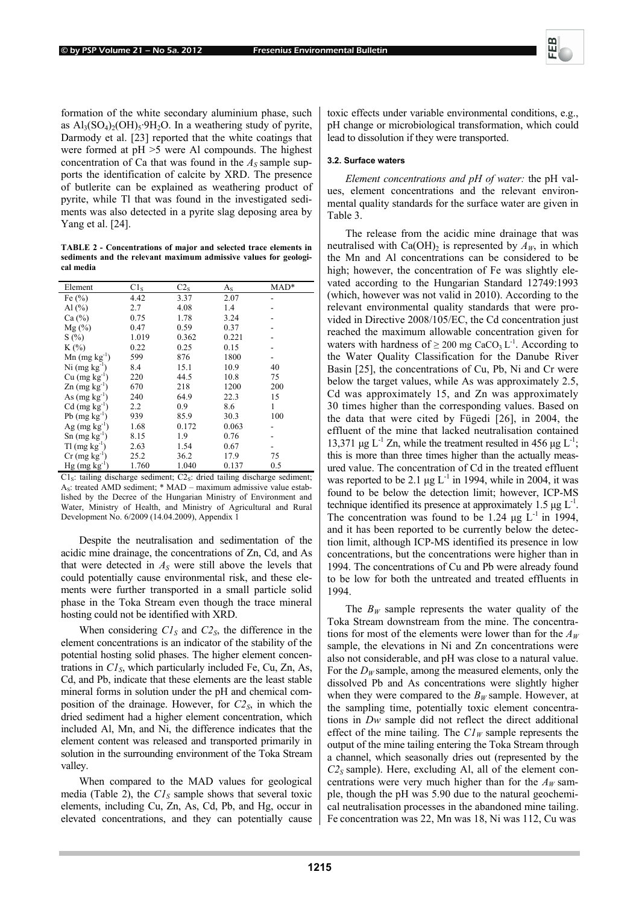

formation of the white secondary aluminium phase, such as  $Al_3(SO_4)_2(OH)_5.9H_2O$ . In a weathering study of pyrite, Darmody et al. [23] reported that the white coatings that were formed at pH >5 were Al compounds. The highest concentration of Ca that was found in the  $A<sub>S</sub>$  sample supports the identification of calcite by XRD. The presence of butlerite can be explained as weathering product of pyrite, while Tl that was found in the investigated sediments was also detected in a pyrite slag deposing area by Yang et al. [24].

**TABLE 2 - Concentrations of major and selected trace elements in sediments and the relevant maximum admissive values for geological media** 

| Element                            | C1 <sub>S</sub> | C2 <sub>S</sub> | $A_{S}$ | $MAD*$ |
|------------------------------------|-----------------|-----------------|---------|--------|
| Fe $(\% )$                         | 4.42            | 3.37            | 2.07    |        |
| Al $(\% )$                         | 2.7             | 4.08            | 1.4     |        |
| Ca (%)                             | 0.75            | 1.78            | 3.24    |        |
| $Mg(\%)$                           | 0.47            | 0.59            | 0.37    |        |
| S(%)                               | 1.019           | 0.362           | 0.221   |        |
| $K(\%)$                            | 0.22            | 0.25            | 0.15    |        |
| $Mn$ (mg kg <sup>-1</sup> )        | 599             | 876             | 1800    |        |
| $Ni$ (mg $kg^{-1}$ )               | 8.4             | 15.1            | 10.9    | 40     |
| $Cu$ (mg $kg^{-1}$ )               | 220             | 44.5            | 10.8    | 75     |
| $\text{Zn}$ (mg kg <sup>-1</sup> ) | 670             | 218             | 1200    | 200    |
| As $(mg kg-1)$                     | 240             | 64.9            | 22.3    | 15     |
| $Cd$ (mg $kg^{-1}$ )               | 2.2             | 0.9             | 8.6     | 1      |
| $Pb$ (mg $kg^{-1}$ )               | 939             | 85.9            | 30.3    | 100    |
| Ag $(mg kg^{-1})$                  | 1.68            | 0.172           | 0.063   |        |
| $\text{Sn}$ (mg kg <sup>-1</sup> ) | 8.15            | 1.9             | 0.76    |        |
| $T1$ (mg kg <sup>-1</sup> )        | 2.63            | 1.54            | 0.67    |        |
| $Cr$ (mg $kg^{-1}$ )               | 25.2            | 36.2            | 17.9    | 75     |
| $Hg$ (mg kg <sup>-1)</sup>         | 1.760           | 1.040           | 0.137   | 0.5    |

 $Cl<sub>S</sub>:$  tailing discharge sediment;  $Cl<sub>S</sub>:$  dried tailing discharge sediment;  $A<sub>S</sub>$ : treated AMD sediment; \* MAD – maximum admissive value established by the Decree of the Hungarian Ministry of Environment and Water, Ministry of Health, and Ministry of Agricultural and Rural Development No. 6/2009 (14.04.2009), Appendix 1

Despite the neutralisation and sedimentation of the acidic mine drainage, the concentrations of Zn, Cd, and As that were detected in  $A<sub>S</sub>$  were still above the levels that could potentially cause environmental risk, and these elements were further transported in a small particle solid phase in the Toka Stream even though the trace mineral hosting could not be identified with XRD.

When considering  $CI_S$  and  $C2_S$ , the difference in the element concentrations is an indicator of the stability of the potential hosting solid phases. The higher element concentrations in  $CI<sub>S</sub>$ , which particularly included Fe, Cu, Zn, As, Cd, and Pb, indicate that these elements are the least stable mineral forms in solution under the pH and chemical composition of the drainage. However, for  $C_2$ <sub>S</sub>, in which the dried sediment had a higher element concentration, which included Al, Mn, and Ni, the difference indicates that the element content was released and transported primarily in solution in the surrounding environment of the Toka Stream valley.

When compared to the MAD values for geological media (Table 2), the  $CI<sub>S</sub>$  sample shows that several toxic elements, including Cu, Zn, As, Cd, Pb, and Hg, occur in elevated concentrations, and they can potentially cause toxic effects under variable environmental conditions, e.g., pH change or microbiological transformation, which could lead to dissolution if they were transported.

#### **3.2. Surface waters**

*Element concentrations and pH of water:* the pH values, element concentrations and the relevant environmental quality standards for the surface water are given in Table 3.

The release from the acidic mine drainage that was neutralised with  $Ca(OH)_2$  is represented by  $A_W$ , in which the Mn and Al concentrations can be considered to be high; however, the concentration of Fe was slightly elevated according to the Hungarian Standard 12749:1993 (which, however was not valid in 2010). According to the relevant environmental quality standards that were provided in Directive 2008/105/EC, the Cd concentration just reached the maximum allowable concentration given for waters with hardness of  $\geq 200$  mg CaCO<sub>3</sub> L<sup>-1</sup>. According to the Water Quality Classification for the Danube River Basin [25], the concentrations of Cu, Pb, Ni and Cr were below the target values, while As was approximately 2.5, Cd was approximately 15, and Zn was approximately 30 times higher than the corresponding values. Based on the data that were cited by Fügedi [26], in 2004, the effluent of the mine that lacked neutralisation contained 13,371  $\mu$ g L<sup>-1</sup> Zn, while the treatment resulted in 456  $\mu$ g L<sup>-1</sup>; this is more than three times higher than the actually measured value. The concentration of Cd in the treated effluent was reported to be 2.1  $\mu$ g L<sup>-1</sup> in 1994, while in 2004, it was found to be below the detection limit; however, ICP-MS technique identified its presence at approximately 1.5  $\mu$ g L<sup>-1</sup>. The concentration was found to be 1.24  $\mu$ g L<sup>-1</sup> in 1994, and it has been reported to be currently below the detection limit, although ICP-MS identified its presence in low concentrations, but the concentrations were higher than in 1994. The concentrations of Cu and Pb were already found to be low for both the untreated and treated effluents in 1994.

The  $B_W$  sample represents the water quality of the Toka Stream downstream from the mine. The concentrations for most of the elements were lower than for the  $A_W$ sample, the elevations in Ni and Zn concentrations were also not considerable, and pH was close to a natural value. For the  $D_W$  sample, among the measured elements, only the dissolved Pb and As concentrations were slightly higher when they were compared to the  $B_W$  sample. However, at the sampling time, potentially toxic element concentrations in *Dw* sample did not reflect the direct additional effect of the mine tailing. The  $Cl_W$  sample represents the output of the mine tailing entering the Toka Stream through a channel, which seasonally dries out (represented by the  $C2<sub>S</sub>$  sample). Here, excluding Al, all of the element concentrations were very much higher than for the  $A_W$  sample, though the pH was 5.90 due to the natural geochemical neutralisation processes in the abandoned mine tailing. Fe concentration was 22, Mn was 18, Ni was 112, Cu was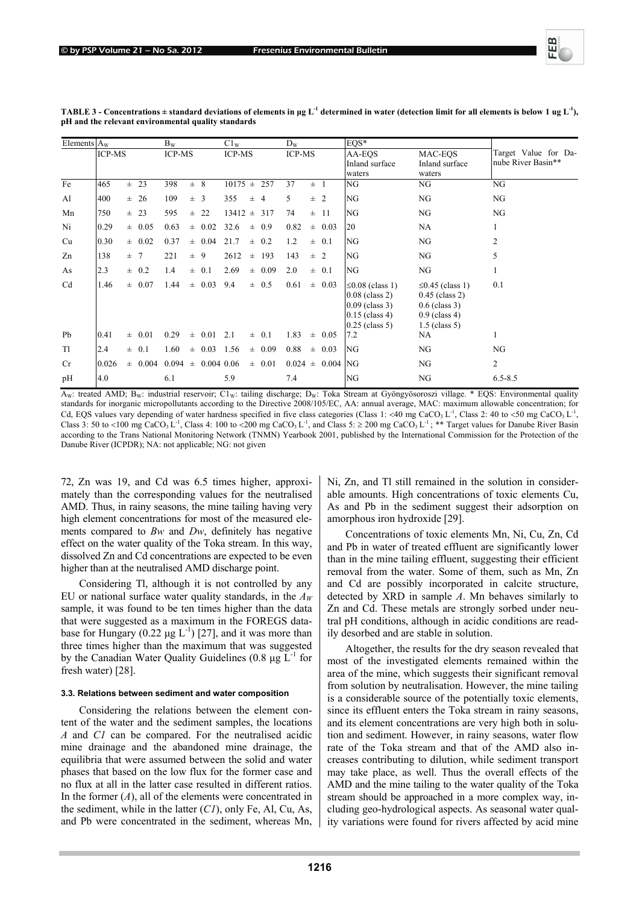

| Elements $A_w$ |               |     |             | $B_{W}$ |               |              | $C1_{W}$      |          |                          | $D_{W}$                  |                           |                                            | $EOS*$                                                                                                |                                                                                                    |                |
|----------------|---------------|-----|-------------|---------|---------------|--------------|---------------|----------|--------------------------|--------------------------|---------------------------|--------------------------------------------|-------------------------------------------------------------------------------------------------------|----------------------------------------------------------------------------------------------------|----------------|
|                | <b>ICP-MS</b> |     | ICP-MS      |         | <b>ICP-MS</b> |              | <b>ICP-MS</b> |          |                          | AA-EQS<br>Inland surface | MAC-EOS<br>Inland surface | Target Value for Da-<br>nube River Basin** |                                                                                                       |                                                                                                    |                |
|                |               |     |             |         |               |              |               |          |                          |                          |                           |                                            | waters                                                                                                | waters                                                                                             |                |
| Fe             | 465           |     | $\pm$ 23    | 398     | $\pm$ 8       |              | $10175 \pm$   |          | 257                      | 37                       | $\pm$ 1                   |                                            | NG                                                                                                    | NG                                                                                                 | NG             |
| Al             | 400           |     | $\pm$ 26    | 109     | $\pm$ 3       |              | 355           | 士        | $\overline{\mathcal{A}}$ | 5.                       | $\pm$ 2                   |                                            | NG                                                                                                    | NG                                                                                                 | NG             |
| Mn             | 750           |     | $\pm$ 23    | 595     |               | $\pm$ 22     | 13412         | $\pm$    | 317                      | 74                       |                           | $\pm$ 11                                   | NG                                                                                                    | NG                                                                                                 | NG             |
| Ni             | 0.29          |     | $\pm$ 0.05  | 0.63    |               | $\pm$ 0.02   | 32.6          | $\pm$    | 0.9                      | 0.82                     |                           | $\pm$ 0.03                                 | 20                                                                                                    | NA                                                                                                 |                |
| Cu             | 0.30          |     | $\pm 0.02$  | 0.37    |               | $\pm$ 0.04   | 21.7          | Ŧ.       | 0.2                      | 1.2                      |                           | $\pm 0.1$                                  | NG                                                                                                    | NG                                                                                                 | $\overline{2}$ |
| Zn             | 138           | ± 7 |             | 221     | $\pm$ 9       |              | 2612          | $\pm$    | 193                      | 143                      | $\pm$ 2                   |                                            | NG                                                                                                    | NG                                                                                                 | 5              |
| As             | 2.3           |     | $\pm$ 0.2   | 1.4     |               | $\pm 0.1$    | 2.69          |          | $\pm 0.09$               | 2.0                      |                           | $\pm 0.1$                                  | NG                                                                                                    | NG                                                                                                 |                |
| C <sub>d</sub> | 1.46          |     | $\pm$ 0.07  | 1.44    |               | $\pm$ 0.03   | 9.4           |          | $\pm$ 0.5                | 0.61                     |                           | $\pm$ 0.03                                 | $\leq$ 0.08 (class 1)<br>$0.08$ (class 2)<br>$0.09$ (class 3)<br>$0.15$ (class 4)<br>$0.25$ (class 5) | $\leq$ 0.45 (class 1)<br>$0.45$ (class 2)<br>$0.6$ (class 3)<br>$0.9$ (class 4)<br>$1.5$ (class 5) | 0.1            |
| Pb             | 0.41          |     | $\pm 0.01$  | 0.29    |               | $\pm$ 0.01   | 2.1           | $_{\pm}$ | 0.1                      | 1.83                     |                           | $\pm$ 0.05                                 | 7.2                                                                                                   | NA.                                                                                                |                |
| T <sub>1</sub> | 2.4           |     | $\pm 0.1$   | 1.60    |               | $\pm$ 0.03   | 1.56          |          | $\pm 0.09$               | 0.88                     |                           | $\pm$ 0.03                                 | NG                                                                                                    | NG                                                                                                 | NG             |
| Cr             | 0.026         |     | $\pm$ 0.004 | 0.094   | $\pm$         | $0.004$ 0.06 |               | Ŧ.       | 0.01                     | 0.024                    |                           | $\pm$ 0.004 NG                             |                                                                                                       | NG                                                                                                 | $\overline{2}$ |
| pH             | 4.0           |     |             | 6.1     |               |              | 5.9           |          |                          | 7.4                      |                           |                                            | NG                                                                                                    | NG                                                                                                 | $6.5 - 8.5$    |

**TABLE 3 - Concentrations**  $\pm$  **standard deviations of elements in µg L<sup>-1</sup> determined in water (detection limit for all elements is below 1 ug L<sup>-1</sup>), pH and the relevant environmental quality standards** 

 $A_W$ : treated AMD; B<sub>W</sub>: industrial reservoir; C1w: tailing discharge; D<sub>W</sub>: Toka Stream at Gyöngyösoroszi village. \* EQS: Environmental quality standards for inorganic micropollutants according to the Directive 2008/105/EC, AA: annual average, MAC: maximum allowable concentration; for Cd, EQS values vary depending of water hardness specified in five class categories (Class 1: <40 mg CaCO<sub>3</sub> L<sup>-1</sup>, Class 2: 40 to <50 mg CaCO<sub>3</sub> L<sup>-1</sup>, Class 3: 50 to <100 mg CaCO<sub>3</sub> L<sup>-1</sup>, Class 4: 100 to <200 mg CaCO<sub>3</sub> L<sup>-1</sup>, and Class 5:  $\geq$  200 mg CaCO<sub>3</sub> L<sup>-1</sup>; \*\* Target values for Danube River Basin according to the Trans National Monitoring Network (TNMN) Yearbook 2001, published by the International Commission for the Protection of the Danube River (ICPDR); NA: not applicable; NG: not given

72, Zn was 19, and Cd was 6.5 times higher, approximately than the corresponding values for the neutralised AMD. Thus, in rainy seasons, the mine tailing having very high element concentrations for most of the measured elements compared to *Bw* and *Dw*, definitely has negative effect on the water quality of the Toka stream. In this way, dissolved Zn and Cd concentrations are expected to be even higher than at the neutralised AMD discharge point.

Considering Tl, although it is not controlled by any EU or national surface water quality standards, in the  $A_W$ sample, it was found to be ten times higher than the data that were suggested as a maximum in the FOREGS database for Hungary (0.22  $\mu$ g L<sup>-1</sup>) [27], and it was more than three times higher than the maximum that was suggested by the Canadian Water Quality Guidelines (0.8  $\mu$ g L<sup>-1</sup> for fresh water) [28].

# **3.3. Relations between sediment and water composition**

Considering the relations between the element content of the water and the sediment samples, the locations *A* and *C1* can be compared. For the neutralised acidic mine drainage and the abandoned mine drainage, the equilibria that were assumed between the solid and water phases that based on the low flux for the former case and no flux at all in the latter case resulted in different ratios. In the former (*A*), all of the elements were concentrated in the sediment, while in the latter (*C1*), only Fe, Al, Cu, As, and Pb were concentrated in the sediment, whereas Mn, Ni, Zn, and Tl still remained in the solution in considerable amounts. High concentrations of toxic elements Cu, As and Pb in the sediment suggest their adsorption on amorphous iron hydroxide [29].

Concentrations of toxic elements Mn, Ni, Cu, Zn, Cd and Pb in water of treated effluent are significantly lower than in the mine tailing effluent, suggesting their efficient removal from the water. Some of them, such as Mn, Zn and Cd are possibly incorporated in calcite structure, detected by XRD in sample *A*. Mn behaves similarly to Zn and Cd. These metals are strongly sorbed under neutral pH conditions, although in acidic conditions are readily desorbed and are stable in solution.

Altogether, the results for the dry season revealed that most of the investigated elements remained within the area of the mine, which suggests their significant removal from solution by neutralisation. However, the mine tailing is a considerable source of the potentially toxic elements, since its effluent enters the Toka stream in rainy seasons, and its element concentrations are very high both in solution and sediment. However, in rainy seasons, water flow rate of the Toka stream and that of the AMD also increases contributing to dilution, while sediment transport may take place, as well. Thus the overall effects of the AMD and the mine tailing to the water quality of the Toka stream should be approached in a more complex way, including geo-hydrological aspects. As seasonal water quality variations were found for rivers affected by acid mine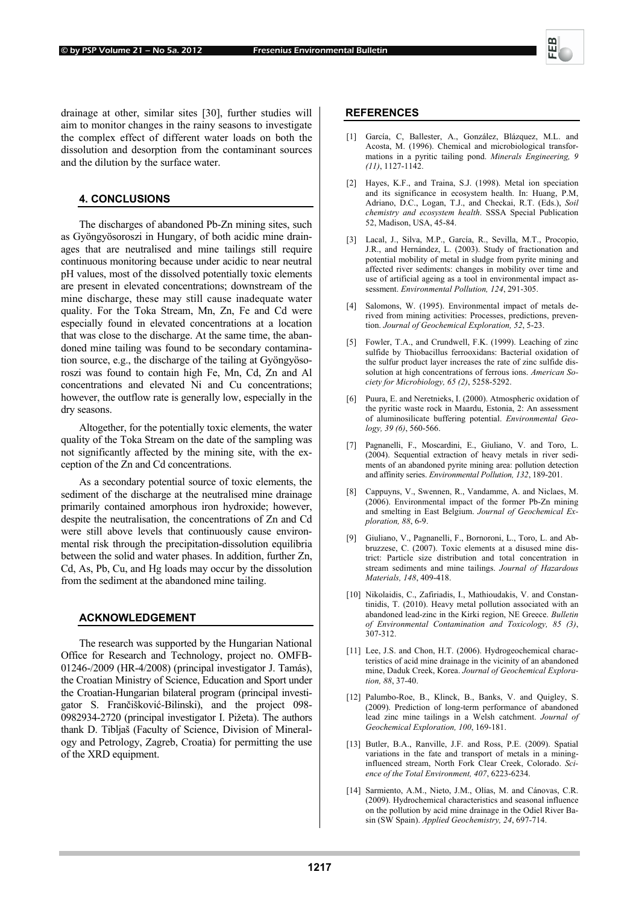

drainage at other, similar sites [30], further studies will aim to monitor changes in the rainy seasons to investigate the complex effect of different water loads on both the dissolution and desorption from the contaminant sources and the dilution by the surface water.

# **4. CONCLUSIONS**

The discharges of abandoned Pb-Zn mining sites, such as Gyöngyösoroszi in Hungary, of both acidic mine drainages that are neutralised and mine tailings still require continuous monitoring because under acidic to near neutral pH values, most of the dissolved potentially toxic elements are present in elevated concentrations; downstream of the mine discharge, these may still cause inadequate water quality. For the Toka Stream, Mn, Zn, Fe and Cd were especially found in elevated concentrations at a location that was close to the discharge. At the same time, the abandoned mine tailing was found to be secondary contamination source, e.g., the discharge of the tailing at Gyöngyösoroszi was found to contain high Fe, Mn, Cd, Zn and Al concentrations and elevated Ni and Cu concentrations; however, the outflow rate is generally low, especially in the dry seasons.

Altogether, for the potentially toxic elements, the water quality of the Toka Stream on the date of the sampling was not significantly affected by the mining site, with the exception of the Zn and Cd concentrations.

As a secondary potential source of toxic elements, the sediment of the discharge at the neutralised mine drainage primarily contained amorphous iron hydroxide; however, despite the neutralisation, the concentrations of Zn and Cd were still above levels that continuously cause environmental risk through the precipitation-dissolution equilibria between the solid and water phases. In addition, further Zn, Cd, As, Pb, Cu, and Hg loads may occur by the dissolution from the sediment at the abandoned mine tailing.

# **ACKNOWLEDGEMENT**

The research was supported by the Hungarian National Office for Research and Technology, project no. OMFB-01246-/2009 (HR-4/2008) (principal investigator J. Tamás), the Croatian Ministry of Science, Education and Sport under the Croatian-Hungarian bilateral program (principal investigator S. Frančišković-Bilinski), and the project 098- 0982934-2720 (principal investigator I. Pižeta). The authors thank D. Tibljaš (Faculty of Science, Division of Mineralogy and Petrology, Zagreb, Croatia) for permitting the use of the XRD equipment.

#### **REFERENCES**

- [1] García, C, Ballester, A., González, Blázquez, M.L. and Acosta, M. (1996). Chemical and microbiological transformations in a pyritic tailing pond. *Minerals Engineering, 9 (11)*, 1127-1142.
- [2] Hayes, K.F., and Traina, S.J. (1998). Metal ion speciation and its significance in ecosystem health. In: Huang, P.M, Adriano, D.C., Logan, T.J., and Checkai, R.T. (Eds.), *Soil chemistry and ecosystem health*. SSSA Special Publication 52, Madison, USA, 45-84.
- Lacal, J., Silva, M.P., García, R., Sevilla, M.T., Procopio, J.R., and Hernández, L. (2003). Study of fractionation and potential mobility of metal in sludge from pyrite mining and affected river sediments: changes in mobility over time and use of artificial ageing as a tool in environmental impact assessment. *Environmental Pollution, 124*, 291-305.
- [4] Salomons, W. (1995). Environmental impact of metals derived from mining activities: Processes, predictions, prevention. *Journal of Geochemical Exploration, 52*, 5-23.
- [5] Fowler, T.A., and Crundwell, F.K. (1999). Leaching of zinc sulfide by Thiobacillus ferrooxidans: Bacterial oxidation of the sulfur product layer increases the rate of zinc sulfide dissolution at high concentrations of ferrous ions. *American Society for Microbiology, 65 (2)*, 5258-5292.
- [6] Puura, E. and Neretnieks, I. (2000). Atmospheric oxidation of the pyritic waste rock in Maardu, Estonia, 2: An assessment of aluminosilicate buffering potential. *Environmental Geology, 39 (6)*, 560-566.
- [7] Pagnanelli, F., Moscardini, E., Giuliano, V. and Toro, L. (2004). Sequential extraction of heavy metals in river sediments of an abandoned pyrite mining area: pollution detection and affinity series. *Environmental Pollution, 132*, 189-201.
- [8] Cappuyns, V., Swennen, R., Vandamme, A. and Niclaes, M. (2006). Environmental impact of the former Pb-Zn mining and smelting in East Belgium. *Journal of Geochemical Exploration, 88*, 6-9.
- [9] Giuliano, V., Pagnanelli, F., Bornoroni, L., Toro, L. and Abbruzzese, C. (2007). Toxic elements at a disused mine district: Particle size distribution and total concentration in stream sediments and mine tailings. *Journal of Hazardous Materials, 148*, 409-418.
- [10] Nikolaidis, C., Zafiriadis, I., Mathioudakis, V. and Constantinidis, T. (2010). Heavy metal pollution associated with an abandoned lead-zinc in the Kirki region, NE Greece. *Bulletin of Environmental Contamination and Toxicology, 85 (3)*, 307-312.
- [11] Lee, J.S. and Chon, H.T. (2006). Hydrogeochemical characteristics of acid mine drainage in the vicinity of an abandoned mine, Daduk Creek, Korea. *Journal of Geochemical Exploration, 88*, 37-40.
- [12] Palumbo-Roe, B., Klinck, B., Banks, V. and Quigley, S. (2009). Prediction of long-term performance of abandoned lead zinc mine tailings in a Welsh catchment. *Journal of Geochemical Exploration, 100*, 169-181.
- [13] Butler, B.A., Ranville, J.F. and Ross, P.E. (2009). Spatial variations in the fate and transport of metals in a mininginfluenced stream, North Fork Clear Creek, Colorado. *Science of the Total Environment, 407*, 6223-6234.
- [14] Sarmiento, A.M., Nieto, J.M., Olías, M. and Cánovas, C.R. (2009). Hydrochemical characteristics and seasonal influence on the pollution by acid mine drainage in the Odiel River Basin (SW Spain). *Applied Geochemistry, 24*, 697-714.